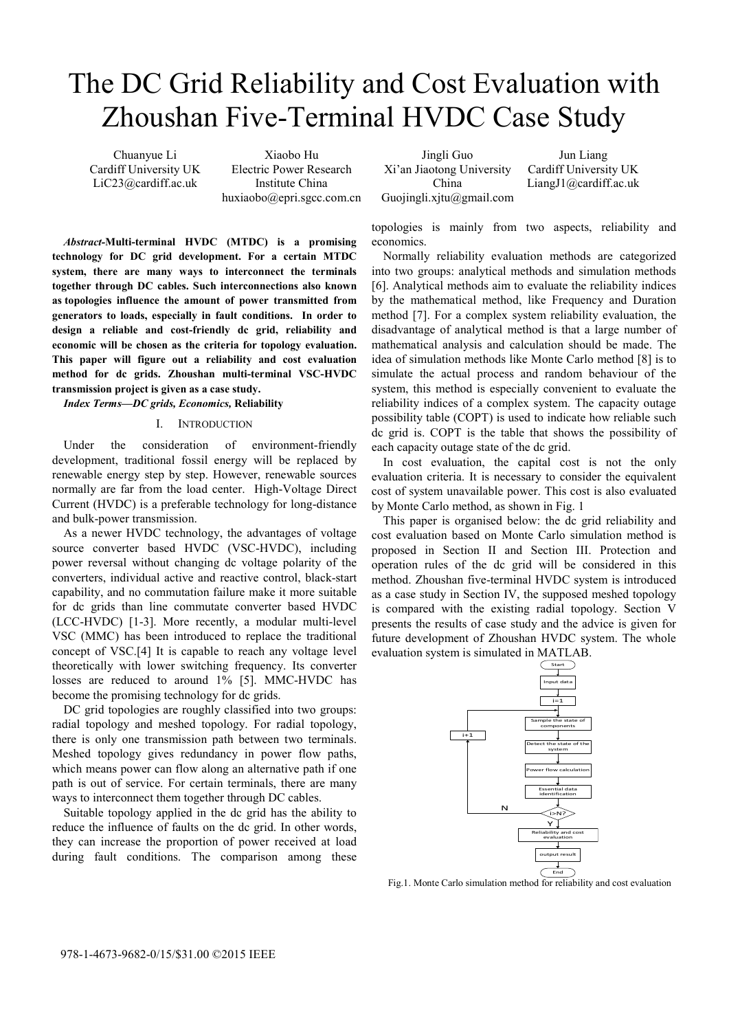# The DC Grid Reliability and Cost Evaluation with Zhoushan Five-Terminal HVDC Case Study

Chuanyue Li Cardiff University UK LiC23@cardiff.ac.uk

Xiaobo Hu Electric Power Research Institute China huxiaobo@epri.sgcc.com.cn

*Abstract-***Multi-terminal HVDC (MTDC) is a promising technology for DC grid development. For a certain MTDC system, there are many ways to interconnect the terminals together through DC cables. Such interconnections also known as topologies influence the amount of power transmitted from generators to loads, especially in fault conditions. In order to design a reliable and cost-friendly dc grid, reliability and economic will be chosen as the criteria for topology evaluation. This paper will figure out a reliability and cost evaluation method for dc grids. Zhoushan multi-terminal VSC-HVDC transmission project is given as a case study.** 

*Index Terms—DC grids, Economics,* **Reliability** 

#### I. INTRODUCTION

Under the consideration of environment-friendly development, traditional fossil energy will be replaced by renewable energy step by step. However, renewable sources normally are far from the load center. High-Voltage Direct Current (HVDC) is a preferable technology for long-distance and bulk-power transmission.

As a newer HVDC technology, the advantages of voltage source converter based HVDC (VSC-HVDC), including power reversal without changing dc voltage polarity of the converters, individual active and reactive control, black-start capability, and no commutation failure make it more suitable for dc grids than line commutate converter based HVDC (LCC-HVDC) [1-3]. More recently, a modular multi-level VSC (MMC) has been introduced to replace the traditional concept of VSC.[4] It is capable to reach any voltage level theoretically with lower switching frequency. Its converter losses are reduced to around 1% [5]. MMC-HVDC has become the promising technology for dc grids.

DC grid topologies are roughly classified into two groups: radial topology and meshed topology. For radial topology, there is only one transmission path between two terminals. Meshed topology gives redundancy in power flow paths, which means power can flow along an alternative path if one path is out of service. For certain terminals, there are many ways to interconnect them together through DC cables.

Suitable topology applied in the dc grid has the ability to reduce the influence of faults on the dc grid. In other words, they can increase the proportion of power received at load during fault conditions. The comparison among these

Jingli Guo Xi'an Jiaotong University China Guojingli.xjtu@gmail.com

Jun Liang Cardiff University UK LiangJ1@cardiff.ac.uk

topologies is mainly from two aspects, reliability and economics.

Normally reliability evaluation methods are categorized into two groups: analytical methods and simulation methods [6]. Analytical methods aim to evaluate the reliability indices by the mathematical method, like Frequency and Duration method [7]. For a complex system reliability evaluation, the disadvantage of analytical method is that a large number of mathematical analysis and calculation should be made. The idea of simulation methods like Monte Carlo method [8] is to simulate the actual process and random behaviour of the system, this method is especially convenient to evaluate the reliability indices of a complex system. The capacity outage possibility table (COPT) is used to indicate how reliable such dc grid is. COPT is the table that shows the possibility of each capacity outage state of the dc grid.

In cost evaluation, the capital cost is not the only evaluation criteria. It is necessary to consider the equivalent cost of system unavailable power. This cost is also evaluated by Monte Carlo method, as shown in Fig. 1

This paper is organised below: the dc grid reliability and cost evaluation based on Monte Carlo simulation method is proposed in Section II and Section III. Protection and operation rules of the dc grid will be considered in this method. Zhoushan five-terminal HVDC system is introduced as a case study in Section IV, the supposed meshed topology is compared with the existing radial topology. Section V presents the results of case study and the advice is given for future development of Zhoushan HVDC system. The whole evaluation system is simulated in MATLAB.



Fig.1. Monte Carlo simulation method for reliability and cost evaluation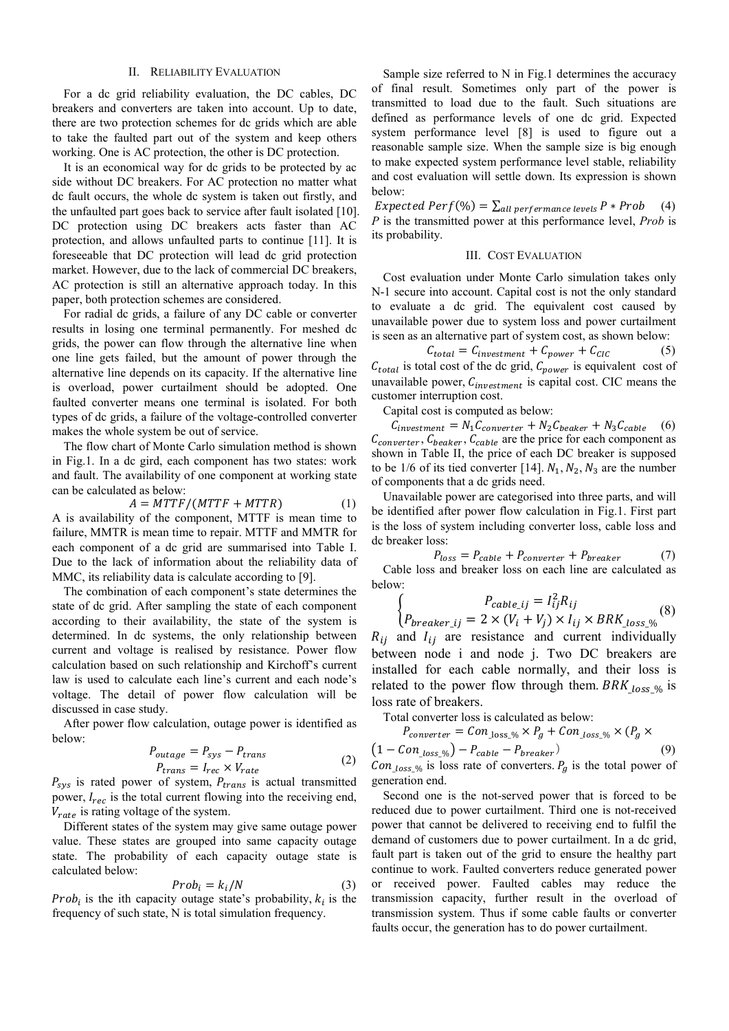#### II. RELIABILITY EVALUATION

For a dc grid reliability evaluation, the DC cables, DC breakers and converters are taken into account. Up to date, there are two protection schemes for dc grids which are able to take the faulted part out of the system and keep others working. One is AC protection, the other is DC protection.

It is an economical way for dc grids to be protected by ac side without DC breakers. For AC protection no matter what dc fault occurs, the whole dc system is taken out firstly, and the unfaulted part goes back to service after fault isolated [10]. DC protection using DC breakers acts faster than AC protection, and allows unfaulted parts to continue [11]. It is foreseeable that DC protection will lead dc grid protection market. However, due to the lack of commercial DC breakers, AC protection is still an alternative approach today. In this paper, both protection schemes are considered.

For radial dc grids, a failure of any DC cable or converter results in losing one terminal permanently. For meshed dc grids, the power can flow through the alternative line when one line gets failed, but the amount of power through the alternative line depends on its capacity. If the alternative line is overload, power curtailment should be adopted. One faulted converter means one terminal is isolated. For both types of dc grids, a failure of the voltage-controlled converter makes the whole system be out of service.

The flow chart of Monte Carlo simulation method is shown in Fig.1. In a dc gird, each component has two states: work and fault. The availability of one component at working state can be calculated as below:

$$
A = MTTF/(MTTF + MTTR)
$$
 (1)

A is availability of the component, MTTF is mean time to failure, MMTR is mean time to repair. MTTF and MMTR for each component of a dc grid are summarised into Table I. Due to the lack of information about the reliability data of MMC, its reliability data is calculate according to [9].

The combination of each component's state determines the state of dc grid. After sampling the state of each component according to their availability, the state of the system is determined. In dc systems, the only relationship between current and voltage is realised by resistance. Power flow calculation based on such relationship and Kirchoff's current law is used to calculate each line's current and each node's voltage. The detail of power flow calculation will be discussed in case study.

After power flow calculation, outage power is identified as below:

$$
P_{outage} = P_{sys} - P_{trans}
$$
  
\n
$$
P_{trans} = I_{rec} \times V_{rate}
$$
 (2)

 $P_{sys}$  is rated power of system,  $P_{trans}$  is actual transmitted power,  $I_{rec}$  is the total current flowing into the receiving end,  $V_{rate}$  is rating voltage of the system.

Different states of the system may give same outage power value. These states are grouped into same capacity outage state. The probability of each capacity outage state is calculated below:

$$
Prob_i = k_i / N \tag{3}
$$

*Prob<sub>i</sub>* is the ith capacity outage state's probability,  $k_i$  is the frequency of such state, N is total simulation frequency.

Sample size referred to N in Fig.1 determines the accuracy of final result. Sometimes only part of the power is transmitted to load due to the fault. Such situations are defined as performance levels of one dc grid. Expected system performance level [8] is used to figure out a reasonable sample size. When the sample size is big enough to make expected system performance level stable, reliability and cost evaluation will settle down. Its expression is shown below:

Expected Perf(%) =  $\sum_{all \text{ performance levels}} P * Prob$  (4) *P* is the transmitted power at this performance level, *Prob* is its probability.

#### III. COST EVALUATION

Cost evaluation under Monte Carlo simulation takes only N-1 secure into account. Capital cost is not the only standard to evaluate a dc grid. The equivalent cost caused by unavailable power due to system loss and power curtailment is seen as an alternative part of system cost, as shown below:

 $C_{total} = C_{investment} + C_{power} + C_{CIC}$  (5)  $C_{total}$  is total cost of the dc grid,  $C_{power}$  is equivalent cost of unavailable power,  $C_{investment}$  is capital cost. CIC means the

customer interruption cost. Capital cost is computed as below:

 $C_{\text{investment}} = N_1 C_{\text{converter}} + N_2 C_{\text{beaker}} + N_3 C_{\text{cable}}$  (6)  $C_{converter}$ ,  $C_{beaker}$ ,  $C_{cable}$  are the price for each component as shown in Table II, the price of each DC breaker is supposed to be 1/6 of its tied converter [14].  $N_1$ ,  $N_2$ ,  $N_3$  are the number of components that a dc grids need.

Unavailable power are categorised into three parts, and will be identified after power flow calculation in Fig.1. First part is the loss of system including converter loss, cable loss and dc breaker loss:

 $P_{loss} = P_{cable} + P_{converter} + P_{breaker}$  (7) Cable loss and breaker loss on each line are calculated as below:

$$
\begin{cases}\nP_{cable\_ij} = I_{ij}^2 R_{ij} \\
P_{breaker\_ij} = 2 \times (V_i + V_j) \times I_{ij} \times BRK_{loss\_%}\n\end{cases}
$$
(8)

 $R_{ij}$  and  $I_{ij}$  are resistance and current individually between node i and node j. Two DC breakers are installed for each cable normally, and their loss is related to the power flow through them.  $BRK_{loss}$  is loss rate of breakers.

Total converter loss is calculated as below:

$$
P_{converter} = Con_{loss\_%} \times P_g + Con_{loss\_%} \times (P_g \times
$$

 $(1 - Con_{loss\%}) - P_{cable} - P_{breaker})$  (9)  $Con_{loss_2\%}$  is loss rate of converters.  $P_g$  is the total power of generation end.

Second one is the not-served power that is forced to be reduced due to power curtailment. Third one is not-received power that cannot be delivered to receiving end to fulfil the demand of customers due to power curtailment. In a dc grid, fault part is taken out of the grid to ensure the healthy part continue to work. Faulted converters reduce generated power or received power. Faulted cables may reduce the transmission capacity, further result in the overload of transmission system. Thus if some cable faults or converter faults occur, the generation has to do power curtailment.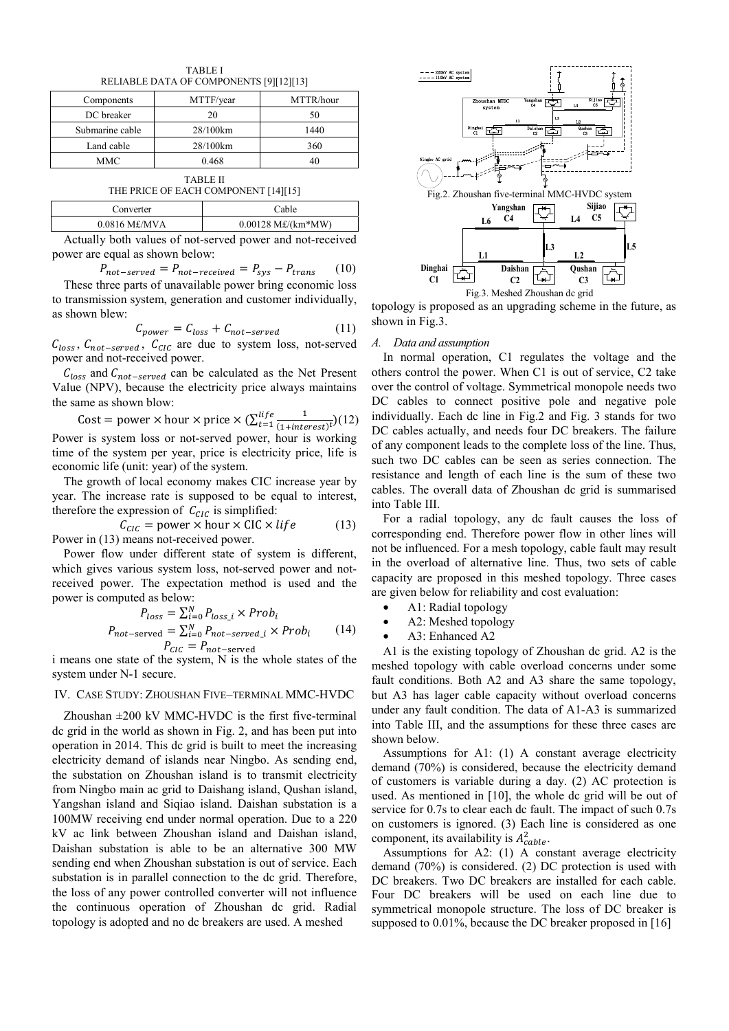TABLE I RELIABLE DATA OF COMPONENTS [9][12][13]

| Components      | MTTF/year | MTTR/hour |
|-----------------|-----------|-----------|
| DC breaker      | 20        | 50        |
| Submarine cable | 28/100km  | 1440      |
| Land cable      | 28/100km  | 360       |
| MMC             | 0.468     |           |

TABLE II THE PRICE OF EACH COMPONENT [14][15]

| Converter     | Cable                |
|---------------|----------------------|
| 0.0816 M£/MVA | $0.00128$ M£/(km*MW) |

Actually both values of not-served power and not-received power are equal as shown below:

 $P_{not-served} = P_{not-received} = P_{sys} - P_{trans}$  (10) These three parts of unavailable power bring economic loss to transmission system, generation and customer individually, as shown blew:

$$
C_{power} = C_{loss} + C_{not-served}
$$
 (11)

 $C_{loss}$ ,  $C_{not-served}$ ,  $C_{CIC}$  are due to system loss, not-served power and not-received power.

 $C_{loss}$  and  $C_{not-served}$  can be calculated as the Net Present Value (NPV), because the electricity price always maintains the same as shown blow:

Cost = power × hour × price × 
$$
(\sum_{t=1}^{life} \frac{1}{(1+interest)^t})
$$
(12)  
Power is system loss or not-served power, hour is working  
time of the system per year, price is electricity price, life is  
economic life (unit: year) of the system.

The growth of local economy makes CIC increase year by year. The increase rate is supposed to be equal to interest, therefore the expression of  $C_{CLC}$  is simplified:

$$
C_{CIC} = \text{power} \times \text{hour} \times \text{CIC} \times \text{life} \tag{13}
$$
  
Power in (13) means not-received power.

Power flow under different state of system is different, which gives various system loss, not-served power and notreceived power. The expectation method is used and the power is computed as below:

$$
P_{loss} = \sum_{i=0}^{N} P_{loss\_i} \times Prob_i
$$
  
\n
$$
P_{not-served} = \sum_{i=0}^{N} P_{not-served\_i} \times Prob_i
$$
 (14)  
\n
$$
P_{CIC} = P_{not-served}
$$

i means one state of the system, N is the whole states of the system under N-1 secure.

# IV. CASE STUDY: ZHOUSHAN FIVE–TERMINAL MMC-HVDC

Zhoushan  $\pm 200$  kV MMC-HVDC is the first five-terminal dc grid in the world as shown in Fig. 2, and has been put into operation in 2014. This dc grid is built to meet the increasing electricity demand of islands near Ningbo. As sending end, the substation on Zhoushan island is to transmit electricity from Ningbo main ac grid to Daishang island, Qushan island, Yangshan island and Siqiao island. Daishan substation is a 100MW receiving end under normal operation. Due to a 220 kV ac link between Zhoushan island and Daishan island, Daishan substation is able to be an alternative 300 MW sending end when Zhoushan substation is out of service. Each substation is in parallel connection to the dc grid. Therefore, the loss of any power controlled converter will not influence the continuous operation of Zhoushan dc grid. Radial topology is adopted and no dc breakers are used. A meshed



topology is proposed as an upgrading scheme in the future, as shown in Fig.3.

# *A. Data and assumption*

In normal operation, C1 regulates the voltage and the others control the power. When C1 is out of service, C2 take over the control of voltage. Symmetrical monopole needs two DC cables to connect positive pole and negative pole individually. Each dc line in Fig.2 and Fig. 3 stands for two DC cables actually, and needs four DC breakers. The failure of any component leads to the complete loss of the line. Thus, such two DC cables can be seen as series connection. The resistance and length of each line is the sum of these two cables. The overall data of Zhoushan dc grid is summarised into Table III.

For a radial topology, any dc fault causes the loss of corresponding end. Therefore power flow in other lines will not be influenced. For a mesh topology, cable fault may result in the overload of alternative line. Thus, two sets of cable capacity are proposed in this meshed topology. Three cases are given below for reliability and cost evaluation:

- A1: Radial topology
- A2: Meshed topology
- A3: Enhanced A2

A1 is the existing topology of Zhoushan dc grid. A2 is the meshed topology with cable overload concerns under some fault conditions. Both A2 and A3 share the same topology, but A3 has lager cable capacity without overload concerns under any fault condition. The data of A1-A3 is summarized into Table III, and the assumptions for these three cases are shown below.

Assumptions for A1: (1) A constant average electricity demand (70%) is considered, because the electricity demand of customers is variable during a day. (2) AC protection is used. As mentioned in [10], the whole dc grid will be out of service for 0.7s to clear each dc fault. The impact of such 0.7s on customers is ignored. (3) Each line is considered as one component, its availability is  $A^2_{cable}$ .

Assumptions for A2: (1) A constant average electricity demand (70%) is considered. (2) DC protection is used with DC breakers. Two DC breakers are installed for each cable. Four DC breakers will be used on each line due to symmetrical monopole structure. The loss of DC breaker is supposed to 0.01%, because the DC breaker proposed in [16]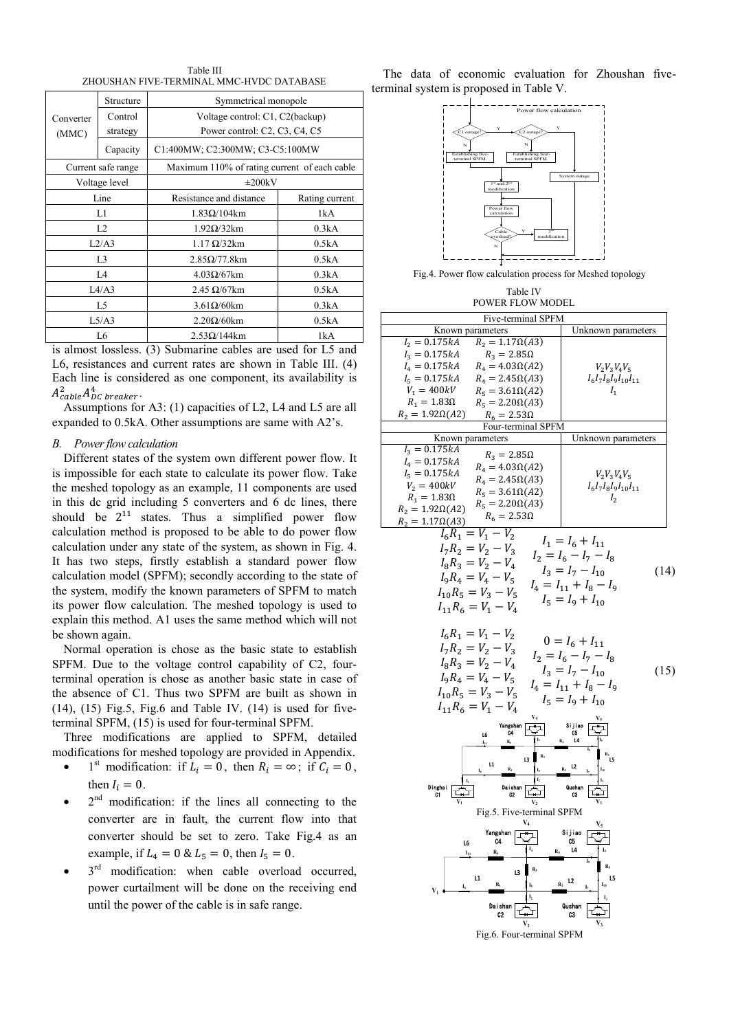Table III ZHOUSHAN FIVE-TERMINAL MMC-HVDC DATABASE

|                | Structure          | Symmetrical monopole                         |                |  |
|----------------|--------------------|----------------------------------------------|----------------|--|
| Converter      | Control            | Voltage control: C1, C2(backup)              |                |  |
| (MMC)          | strategy           | Power control: C2, C3, C4, C5                |                |  |
|                | Capacity           | C1:400MW; C2:300MW; C3-C5:100MW              |                |  |
|                | Current safe range | Maximum 110% of rating current of each cable |                |  |
|                | Voltage level      | $\pm 200kV$                                  |                |  |
|                | Line               | Resistance and distance                      | Rating current |  |
| L1             |                    | $1.83\Omega/104km$                           | 1kA            |  |
| L <sub>2</sub> |                    | $1.92\Omega/32km$<br>0.3kA                   |                |  |
| L2/43          |                    | $1.17 \Omega/32$ km                          | 0.5kA          |  |
| L <sub>3</sub> |                    | $2.85\Omega/77.8km$                          | 0.5kA          |  |
| IA             |                    | $4.03\Omega/67$ km                           | 0.3kA          |  |
| L4/43          |                    | 2.45 $\Omega$ /67km                          | 0.5kA          |  |
| L <sub>5</sub> |                    | $3.61\Omega/60km$                            | 0.3kA          |  |
| L5/43          |                    | $2.20\Omega/60$ km                           | 0.5kA          |  |
| L6             |                    | $2.53\Omega/144km$                           | 1kA            |  |

is almost lossless. (3) Submarine cables are used for L5 and L6, resistances and current rates are shown in Table III. (4) Each line is considered as one component, its availability is  $A^2_{cable}A^4_{DC\;break.}$ 

Assumptions for A3: (1) capacities of L2, L4 and L5 are all expanded to 0.5kA. Other assumptions are same with A2's.

# *B. Power flow calculation*

Different states of the system own different power flow. It is impossible for each state to calculate its power flow. Take the meshed topology as an example, 11 components are used in this dc grid including 5 converters and 6 dc lines, there should be  $2^{11}$  states. Thus a simplified power flow calculation method is proposed to be able to do power flow calculation under any state of the system, as shown in Fig. 4. It has two steps, firstly establish a standard power flow calculation model (SPFM); secondly according to the state of the system, modify the known parameters of SPFM to match its power flow calculation. The meshed topology is used to explain this method. A1 uses the same method which will not be shown again.

Normal operation is chose as the basic state to establish SPFM. Due to the voltage control capability of C2, fourterminal operation is chose as another basic state in case of the absence of C1. Thus two SPFM are built as shown in (14), (15) Fig.5, Fig.6 and Table IV. (14) is used for fiveterminal SPFM, (15) is used for four-terminal SPFM.

Three modifications are applied to SPFM, detailed modifications for meshed topology are provided in Appendix.

- 1<sup>st</sup> modification: if  $L_i = 0$ , then  $R_i = \infty$ ; if  $C_i = 0$ , then  $I_i = 0$ .
- $2<sup>nd</sup>$  modification: if the lines all connecting to the converter are in fault, the current flow into that converter should be set to zero. Take Fig.4 as an example, if  $L_4 = 0 & E_5 = 0$ , then  $I_5 = 0$ .
- $3<sup>rd</sup>$  modification: when cable overload occurred, power curtailment will be done on the receiving end until the power of the cable is in safe range.

The data of economic evaluation for Zhoushan fiveterminal system is proposed in Table V.



Fig.4. Power flow calculation process for Meshed topology

Table IV POWER FLOW MODEL

| Five-terminal SPFM                                                        |                                  |
|---------------------------------------------------------------------------|----------------------------------|
| Known parameters                                                          | Unknown parameters               |
| $I_2 = 0.175 kA$<br>$R_2 = 1.17 \Omega(A3)$                               |                                  |
| $I_3 = 0.175 kA$<br>$R_3 = 2.85\Omega$                                    |                                  |
| $R_4 = 4.03 \Omega(A2)$<br>$I_4 = 0.175 kA$                               | $V_2V_3V_4V_5$                   |
| $I_5 = 0.175 kA$<br>$R_4 = 2.45\Omega(43)$                                | $I_6I_7I_8I_9I_{10}I_{11}$       |
| $V_1 = 400kV$<br>$R_5 = 3.61 \Omega(A2)$                                  | I <sub>1</sub>                   |
| $R_1 = 1.83 \Omega$<br>$R_5 = 2.20 \Omega(A3)$                            |                                  |
| $R_2 = 1.92 \Omega(A2)$<br>$R_6 = 2.53\Omega$                             |                                  |
| Four-terminal SPFM                                                        |                                  |
| Known parameters                                                          | Unknown parameters               |
| $I_3 = 0.175 kA$<br>$R_3 = 2.85\Omega$                                    |                                  |
| $I_4 = 0.175 kA$<br>$R_4 = 4.03 \Omega(A2)$                               |                                  |
| $I_5 = 0.175 kA$<br>$R_4 = 2.45\Omega(43)$                                | $V_2V_3V_4V_5$                   |
| $V_2 = 400kV$<br>$R_5 = 3.61 \Omega(A2)$<br>$R_1 = 1.83\Omega$            | $I_6I_7I_8I_9I_{10}I_{11}$<br>I, |
| $R_5 = 2.20 \Omega(A3)$                                                   |                                  |
| $R_2 = 1.92 \Omega(A2)$<br>$R_6 = 2.53 \Omega$<br>$R_2 = 1.17 \Omega(A3)$ |                                  |
| $I_6 R_1 = V_1 - V_2$                                                     |                                  |
|                                                                           | $I_1 = I_6 + I_{11}$             |
| $I_7R_2 = V_2 - V_3$                                                      | $I_2 = I_6 - I_7 - I_8$          |
| $I_8R_3 = V_2 - V_4$                                                      | $I_3 = I_7 - I_{10}$<br>(14)     |
| $I_9R_4 = V_4 - V_5$                                                      |                                  |
| $I_{10}R_5 = V_3 - V_5$                                                   | $I_4 = I_{11} + I_8 - I_9$       |
| $I_{11}R_6 = V_1 - V_4$                                                   | $I_5 = I_9 + I_{10}$             |
|                                                                           |                                  |
| $I_6R_1 = V_1 - V_2$                                                      |                                  |
|                                                                           | $0 = I_6 + I_{11}$               |
| $I_7R_2 = V_2 - V_3$                                                      | $I_2 = I_6 - I_7 - I_8$          |
| $I_8R_3 = V_2 - V_4$                                                      | $I_3 = I_7 - I_{10}$<br>(15)     |
| $I_9R_4 = V_4 - V_5$                                                      | $I_4 = I_{11} + I_8 - I_9$       |
| $I_{10}R_5 = V_3 - V_5$                                                   |                                  |
| $I_{11}R_6 = V_1 - V_4$                                                   | $I_5 = I_9 + I_{10}$             |
| V4                                                                        |                                  |
| Yangshan<br>C4<br>L6                                                      | Sijiao<br>Ċ5                     |
|                                                                           |                                  |
| $R_3$<br>$\overline{13}$                                                  |                                  |
| L1<br>$R_1$                                                               | L2                               |
|                                                                           |                                  |
| Dingha i<br>C2                                                            | Jushar<br>C3                     |
| v,                                                                        |                                  |
| Fig.5. Five-terminal SPFM<br>V4                                           |                                  |
| Yangshan                                                                  | Sijiao                           |
| C4<br>L6                                                                  | C5                               |
| I,<br>R.<br>I <sub>11</sub><br>R <sub>6</sub>                             | L4                               |
| $R_3$<br>L3                                                               |                                  |
| L1<br>$R_1$<br>R <sub>2</sub><br>I,                                       | L5<br>L <sub>2</sub>             |
|                                                                           |                                  |
| Da i shan                                                                 | Qushan                           |
| C <sub>2</sub><br>$\rm V_2$                                               | C3                               |
| Fig.6. Four-terminal SPFM                                                 |                                  |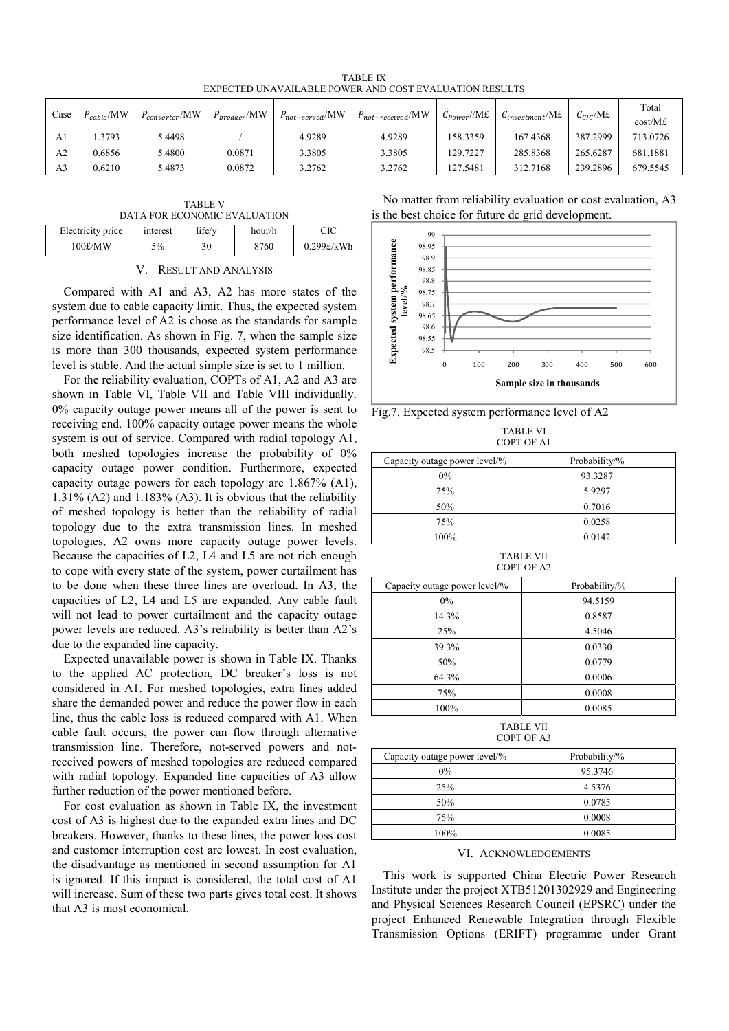TABLE IX EXPECTED UNAVAILABLE POWER AND COST EVALUATION RESULTS

| Case           | $P_{cable}$ /MW | P <sub>converter</sub> /MW | $P_{\text{breaker}}/MW$ | $P_{not-served}$ /MW | $P_{not-received}/MW$ | $C_{Power}/M\text{f}$ | $\mathcal{C}_{\text{investment}}/\text{Mf}$ | $C_{ClC}$ /M£ | Total<br>cost/Mf |
|----------------|-----------------|----------------------------|-------------------------|----------------------|-----------------------|-----------------------|---------------------------------------------|---------------|------------------|
| A <sub>1</sub> | .3793           | 5.4498                     |                         | 4.9289               | 4.9289                | 158.3359              | 167.4368                                    | 387.2999      | 713.0726         |
| A <sub>2</sub> | 0.6856          | 5.4800                     | 0.0871                  | 3.3805               | 3.3805                | 29.7227               | 285.8368                                    | 265.6287      | 681.1881         |
| A <sub>3</sub> | 0.6210          | 5.4873                     | 0.0872                  | 3.2762               | 3.2762                | 27.5481               | 312.7168                                    | 239.2896      | 679.5545         |

TABLE V DATA FOR ECONOMIC EVALUATION

| Electricity price | interest | life/v | hour/h | $\sim$ 10 $\sim$ |
|-------------------|----------|--------|--------|------------------|
| 100£/MW           | 5%       | 30     | 8760   | 0.299f/kWh       |
|                   |          |        |        |                  |

V. RESULT AND ANALYSIS

Compared with A1 and A3, A2 has more states of the system due to cable capacity limit. Thus, the expected system performance level of A2 is chose as the standards for sample size identification. As shown in Fig. 7, when the sample size is more than 300 thousands, expected system performance level is stable. And the actual simple size is set to 1 million.

For the reliability evaluation, COPTs of A1, A2 and A3 are shown in Table VI, Table VII and Table VIII individually. 0% capacity outage power means all of the power is sent to receiving end. 100% capacity outage power means the whole system is out of service. Compared with radial topology A1, both meshed topologies increase the probability of 0% capacity outage power condition. Furthermore, expected capacity outage powers for each topology are 1.867% (A1), 1.31% (A2) and 1.183% (A3). It is obvious that the reliability of meshed topology is better than the reliability of radial topology due to the extra transmission lines. In meshed topologies, A2 owns more capacity outage power levels. Because the capacities of L2, L4 and L5 are not rich enough to cope with every state of the system, power curtailment has to be done when these three lines are overload. In A3, the capacities of L2, L4 and L5 are expanded. Any cable fault will not lead to power curtailment and the capacity outage power levels are reduced. A3's reliability is better than A2's due to the expanded line capacity.

Expected unavailable power is shown in Table IX. Thanks to the applied AC protection, DC breaker's loss is not considered in A1. For meshed topologies, extra lines added share the demanded power and reduce the power flow in each line, thus the cable loss is reduced compared with A1. When cable fault occurs, the power can flow through alternative transmission line. Therefore, not-served powers and notreceived powers of meshed topologies are reduced compared with radial topology. Expanded line capacities of A3 allow further reduction of the power mentioned before.

For cost evaluation as shown in Table IX, the investment cost of A3 is highest due to the expanded extra lines and DC breakers. However, thanks to these lines, the power loss cost and customer interruption cost are lowest. In cost evaluation, the disadvantage as mentioned in second assumption for A1 is ignored. If this impact is considered, the total cost of A1 will increase. Sum of these two parts gives total cost. It shows that A3 is most economical.

No matter from reliability evaluation or cost evaluation, A3 is the best choice for future dc grid development.



Fig.7. Expected system performance level of A2

TABLE VI COPT OF A1

| Capacity outage power level/% | Probability/% |
|-------------------------------|---------------|
| $0\%$                         | 93.3287       |
| 25%                           | 5.9297        |
| 50%                           | 0.7016        |
| 75%                           | 0.0258        |
| 100%                          | 0.0142        |

TABLE VII COPT OF A2

| Capacity outage power level/% | Probability/% |
|-------------------------------|---------------|
| $0\%$                         | 94.5159       |
| 14.3%                         | 0.8587        |
| 25%                           | 4.5046        |
| 39.3%                         | 0.0330        |
| 50%                           | 0.0779        |
| 64.3%                         | 0.0006        |
| 75%                           | 0.0008        |
| 100%                          | 0.0085        |

TABLE VII COPT OF A3

| Capacity outage power level/% | Probability/% |
|-------------------------------|---------------|
| $0\%$                         | 95.3746       |
| 25%                           | 4.5376        |
| 50%                           | 0.0785        |
| 75%                           | 0.0008        |
| 100%                          | 0.0085        |

VI. ACKNOWLEDGEMENTS

This work is supported China Electric Power Research Institute under the project XTB51201302929 and Engineering and Physical Sciences Research Council (EPSRC) under the project Enhanced Renewable Integration through Flexible Transmission Options (ERIFT) programme under Grant